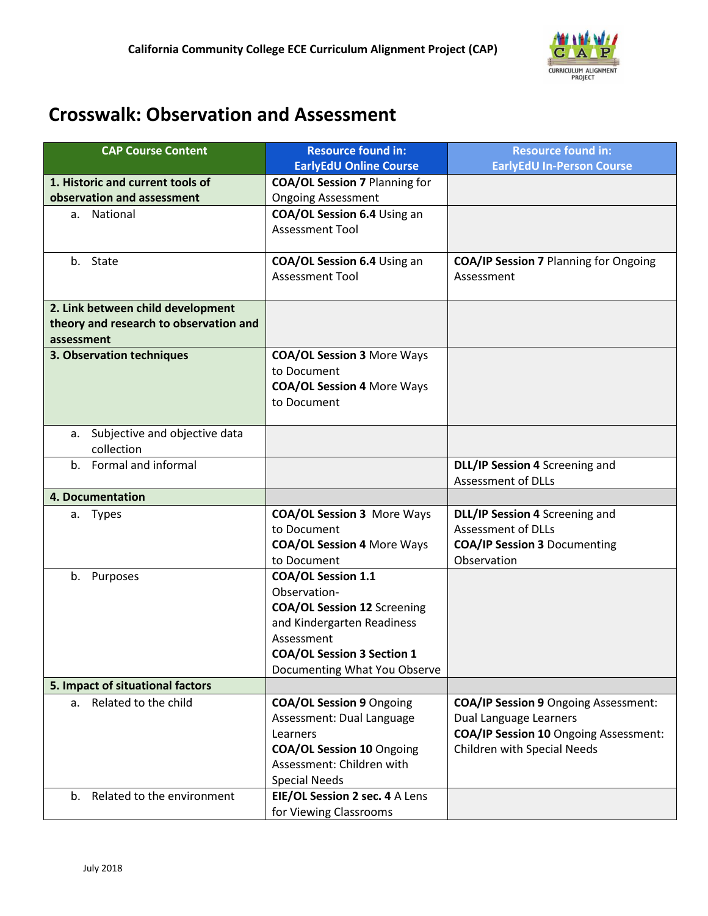

## **Crosswalk: Observation and Assessment**

| <b>CAP Course Content</b>              | <b>Resource found in:</b>            | <b>Resource found in:</b>                    |  |
|----------------------------------------|--------------------------------------|----------------------------------------------|--|
|                                        | <b>EarlyEdU Online Course</b>        | <b>EarlyEdU In-Person Course</b>             |  |
| 1. Historic and current tools of       | <b>COA/OL Session 7 Planning for</b> |                                              |  |
| observation and assessment             | <b>Ongoing Assessment</b>            |                                              |  |
| a. National                            | COA/OL Session 6.4 Using an          |                                              |  |
|                                        | <b>Assessment Tool</b>               |                                              |  |
|                                        |                                      |                                              |  |
| b. State                               | COA/OL Session 6.4 Using an          | <b>COA/IP Session 7 Planning for Ongoing</b> |  |
|                                        | <b>Assessment Tool</b>               | Assessment                                   |  |
|                                        |                                      |                                              |  |
| 2. Link between child development      |                                      |                                              |  |
| theory and research to observation and |                                      |                                              |  |
| assessment                             |                                      |                                              |  |
| 3. Observation techniques              | <b>COA/OL Session 3 More Ways</b>    |                                              |  |
|                                        | to Document                          |                                              |  |
|                                        | <b>COA/OL Session 4 More Ways</b>    |                                              |  |
|                                        | to Document                          |                                              |  |
|                                        |                                      |                                              |  |
| Subjective and objective data<br>а.    |                                      |                                              |  |
| collection                             |                                      |                                              |  |
| b. Formal and informal                 |                                      | DLL/IP Session 4 Screening and               |  |
|                                        |                                      | <b>Assessment of DLLs</b>                    |  |
| 4. Documentation                       |                                      |                                              |  |
| a. Types                               | <b>COA/OL Session 3 More Ways</b>    | DLL/IP Session 4 Screening and               |  |
|                                        | to Document                          | <b>Assessment of DLLs</b>                    |  |
|                                        | <b>COA/OL Session 4 More Ways</b>    | <b>COA/IP Session 3 Documenting</b>          |  |
|                                        | to Document                          | Observation                                  |  |
| b. Purposes                            | <b>COA/OL Session 1.1</b>            |                                              |  |
|                                        | Observation-                         |                                              |  |
|                                        | <b>COA/OL Session 12 Screening</b>   |                                              |  |
|                                        | and Kindergarten Readiness           |                                              |  |
|                                        | Assessment                           |                                              |  |
|                                        | <b>COA/OL Session 3 Section 1</b>    |                                              |  |
|                                        | Documenting What You Observe         |                                              |  |
| 5. Impact of situational factors       |                                      |                                              |  |
| a. Related to the child                | <b>COA/OL Session 9 Ongoing</b>      | <b>COA/IP Session 9 Ongoing Assessment:</b>  |  |
|                                        | Assessment: Dual Language            | Dual Language Learners                       |  |
|                                        | Learners                             | <b>COA/IP Session 10 Ongoing Assessment:</b> |  |
|                                        | <b>COA/OL Session 10 Ongoing</b>     | <b>Children with Special Needs</b>           |  |
|                                        | Assessment: Children with            |                                              |  |
|                                        | <b>Special Needs</b>                 |                                              |  |
| b. Related to the environment          | EIE/OL Session 2 sec. 4 A Lens       |                                              |  |
|                                        | for Viewing Classrooms               |                                              |  |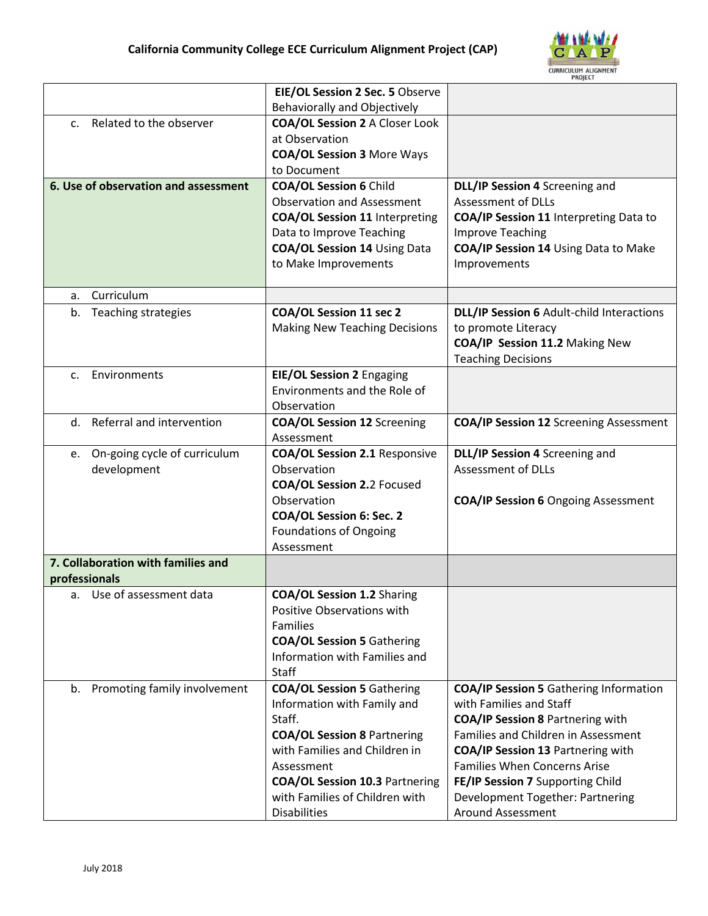

|                |                                      | EIE/OL Session 2 Sec. 5 Observe       |                                                  |
|----------------|--------------------------------------|---------------------------------------|--------------------------------------------------|
|                | <b>Behaviorally and Objectively</b>  |                                       |                                                  |
| $\mathsf{C}$ . | Related to the observer              | <b>COA/OL Session 2 A Closer Look</b> |                                                  |
|                |                                      | at Observation                        |                                                  |
|                |                                      | <b>COA/OL Session 3 More Ways</b>     |                                                  |
|                |                                      | to Document                           |                                                  |
|                | 6. Use of observation and assessment | <b>COA/OL Session 6 Child</b>         | DLL/IP Session 4 Screening and                   |
|                |                                      | <b>Observation and Assessment</b>     | <b>Assessment of DLLs</b>                        |
|                |                                      | <b>COA/OL Session 11 Interpreting</b> | COA/IP Session 11 Interpreting Data to           |
|                |                                      | Data to Improve Teaching              | <b>Improve Teaching</b>                          |
|                |                                      | <b>COA/OL Session 14 Using Data</b>   | COA/IP Session 14 Using Data to Make             |
|                |                                      | to Make Improvements                  | Improvements                                     |
|                |                                      |                                       |                                                  |
| a.             | Curriculum                           |                                       |                                                  |
| b.             | Teaching strategies                  | <b>COA/OL Session 11 sec 2</b>        | <b>DLL/IP Session 6 Adult-child Interactions</b> |
|                |                                      | <b>Making New Teaching Decisions</b>  | to promote Literacy                              |
|                |                                      |                                       | COA/IP Session 11.2 Making New                   |
|                |                                      |                                       | <b>Teaching Decisions</b>                        |
| C.             | Environments                         | <b>EIE/OL Session 2 Engaging</b>      |                                                  |
|                |                                      | Environments and the Role of          |                                                  |
|                |                                      | Observation                           |                                                  |
|                | d. Referral and intervention         | <b>COA/OL Session 12 Screening</b>    | <b>COA/IP Session 12 Screening Assessment</b>    |
|                |                                      | Assessment                            |                                                  |
| e.             | On-going cycle of curriculum         | <b>COA/OL Session 2.1 Responsive</b>  | DLL/IP Session 4 Screening and                   |
|                | development                          | Observation                           | <b>Assessment of DLLs</b>                        |
|                |                                      | <b>COA/OL Session 2.2 Focused</b>     |                                                  |
|                |                                      | Observation                           | <b>COA/IP Session 6 Ongoing Assessment</b>       |
|                |                                      | COA/OL Session 6: Sec. 2              |                                                  |
|                |                                      | <b>Foundations of Ongoing</b>         |                                                  |
|                | 7. Collaboration with families and   | Assessment                            |                                                  |
| professionals  |                                      |                                       |                                                  |
|                | a. Use of assessment data            | <b>COA/OL Session 1.2 Sharing</b>     |                                                  |
|                |                                      | Positive Observations with            |                                                  |
|                |                                      | Families                              |                                                  |
|                |                                      | <b>COA/OL Session 5 Gathering</b>     |                                                  |
|                |                                      | Information with Families and         |                                                  |
|                |                                      | Staff                                 |                                                  |
|                | b. Promoting family involvement      | <b>COA/OL Session 5 Gathering</b>     | <b>COA/IP Session 5 Gathering Information</b>    |
|                |                                      | Information with Family and           | with Families and Staff                          |
|                |                                      | Staff.                                | <b>COA/IP Session 8 Partnering with</b>          |
|                |                                      | <b>COA/OL Session 8 Partnering</b>    | Families and Children in Assessment              |
|                |                                      | with Families and Children in         | <b>COA/IP Session 13 Partnering with</b>         |
|                |                                      | Assessment                            | <b>Families When Concerns Arise</b>              |
|                |                                      | <b>COA/OL Session 10.3 Partnering</b> | FE/IP Session 7 Supporting Child                 |
|                |                                      | with Families of Children with        | Development Together: Partnering                 |
|                |                                      | Disabilities                          | <b>Around Assessment</b>                         |